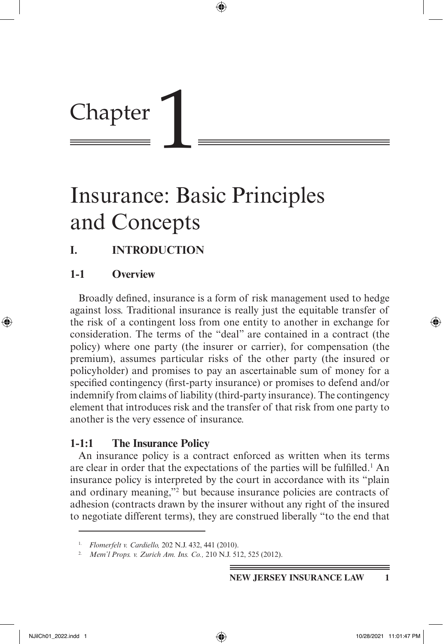# Chapter

## Insurance: Basic Principles and Concepts

⊕

## **I. INTRODUCTION**

## **1-1 Overview**

Broadly defined, insurance is a form of risk management used to hedge against loss. Traditional insurance is really just the equitable transfer of the risk of a contingent loss from one entity to another in exchange for consideration. The terms of the "deal" are contained in a contract (the policy) where one party (the insurer or carrier), for compensation (the premium), assumes particular risks of the other party (the insured or policyholder) and promises to pay an ascertainable sum of money for a specified contingency (first-party insurance) or promises to defend and/or indemnify from claims of liability (third-party insurance). The contingency element that introduces risk and the transfer of that risk from one party to another is the very essence of insurance.

## **1-1:1 The Insurance Policy**

An insurance policy is a contract enforced as written when its terms are clear in order that the expectations of the parties will be fulfilled.<sup>1</sup> An insurance policy is interpreted by the court in accordance with its "plain and ordinary meaning,"2 but because insurance policies are contracts of adhesion (contracts drawn by the insurer without any right of the insured to negotiate different terms), they are construed liberally "to the end that

⊕

<sup>1.</sup> *Flomerfelt v. Cardiello,* 202 N.J. 432, 441 (2010).

<sup>2.</sup> *Mem'l Props. v. Zurich Am. Ins. Co.,* 210 N.J. 512, 525 (2012).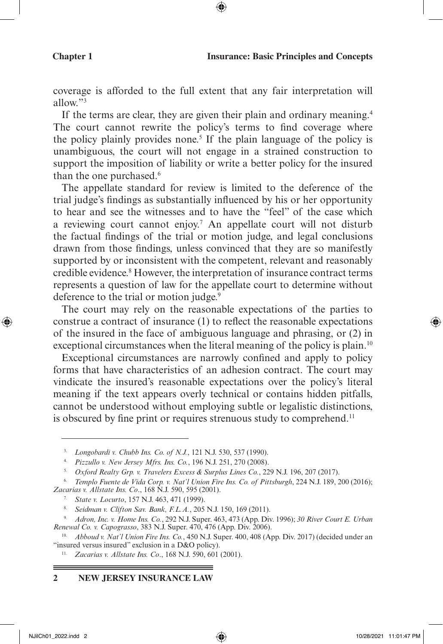coverage is afforded to the full extent that any fair interpretation will allow."3

⊕

If the terms are clear, they are given their plain and ordinary meaning.4 The court cannot rewrite the policy's terms to find coverage where the policy plainly provides none.<sup>5</sup> If the plain language of the policy is unambiguous, the court will not engage in a strained construction to support the imposition of liability or write a better policy for the insured than the one purchased.<sup>6</sup>

The appellate standard for review is limited to the deference of the trial judge's findings as substantially influenced by his or her opportunity to hear and see the witnesses and to have the "feel" of the case which a reviewing court cannot enjoy.7 An appellate court will not disturb the factual findings of the trial or motion judge, and legal conclusions drawn from those findings, unless convinced that they are so manifestly supported by or inconsistent with the competent, relevant and reasonably credible evidence.<sup>8</sup> However, the interpretation of insurance contract terms represents a question of law for the appellate court to determine without deference to the trial or motion judge.<sup>9</sup>

The court may rely on the reasonable expectations of the parties to construe a contract of insurance (1) to reflect the reasonable expectations of the insured in the face of ambiguous language and phrasing, or (2) in exceptional circumstances when the literal meaning of the policy is plain.<sup>10</sup>

Exceptional circumstances are narrowly confined and apply to policy forms that have characteristics of an adhesion contract. The court may vindicate the insured's reasonable expectations over the policy's literal meaning if the text appears overly technical or contains hidden pitfalls, cannot be understood without employing subtle or legalistic distinctions, is obscured by fine print or requires strenuous study to comprehend.<sup>11</sup>

- 7. *State v. Locurto*, 157 N.J. 463, 471 (1999).
- 8. *Seidman v. Clifton Sav. Bank, F.L.A.*, 205 N.J. 150, 169 (2011).

#### **2 NEW JERSEY INSURANCE LAW**

<sup>3.</sup> *Longobardi v. Chubb Ins. Co. of N.J.*, 121 N.J. 530, 537 (1990).

<sup>4.</sup> *Pizzullo v. New Jersey Mfrs. Ins. Co.*, 196 N.J. 251, 270 (2008).

<sup>5.</sup> *Oxford Realty Grp. v. Travelers Excess & Surplus Lines Co.*, 229 N.J. 196, 207 (2017).

<sup>6.</sup> *Templo Fuente de Vida Corp. v. Nat'l Union Fire Ins. Co. of Pittsburgh*, 224 N.J. 189, 200 (2016); *Zacarias v. Allstate Ins. Co*., 168 N.J. 590, 595 (2001).

<sup>9.</sup> *Adron, Inc. v. Home Ins. Co.*, 292 N.J. Super. 463, 473 (App. Div. 1996); *30 River Court E. Urban Renewal Co. v. Capograsso*, 383 N.J. Super. 470, 476 (App. Div. 2006).

<sup>10.</sup> *Abboud v. Nat'l Union Fire Ins. Co.*, 450 N.J. Super. 400, 408 (App. Div. 2017) (decided under an "insured versus insured" exclusion in a D&O policy).

<sup>11.</sup> *Zacarias v. Allstate Ins. Co*., 168 N.J. 590, 601 (2001).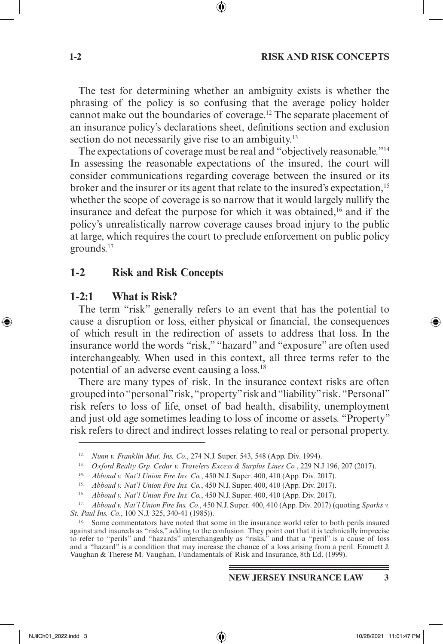#### **1-2 RISK AND RISK CONCEPTS**

The test for determining whether an ambiguity exists is whether the phrasing of the policy is so confusing that the average policy holder cannot make out the boundaries of coverage.12 The separate placement of an insurance policy's declarations sheet, definitions section and exclusion section do not necessarily give rise to an ambiguity.<sup>13</sup>

The expectations of coverage must be real and "objectively reasonable."14 In assessing the reasonable expectations of the insured, the court will consider communications regarding coverage between the insured or its broker and the insurer or its agent that relate to the insured's expectation,<sup>15</sup> whether the scope of coverage is so narrow that it would largely nullify the insurance and defeat the purpose for which it was obtained,16 and if the policy's unrealistically narrow coverage causes broad injury to the public at large, which requires the court to preclude enforcement on public policy grounds.17

#### **1-2 Risk and Risk Concepts**

#### **1-2:1 What is Risk?**

The term "risk" generally refers to an event that has the potential to cause a disruption or loss, either physical or financial, the consequences of which result in the redirection of assets to address that loss. In the insurance world the words "risk," "hazard" and "exposure" are often used interchangeably. When used in this context, all three terms refer to the potential of an adverse event causing a loss.18

There are many types of risk. In the insurance context risks are often grouped into "personal" risk, "property" risk and "liability" risk. "Personal" risk refers to loss of life, onset of bad health, disability, unemployment and just old age sometimes leading to loss of income or assets. "Property" risk refers to direct and indirect losses relating to real or personal property.

<sup>12.</sup> *Nunn v. Franklin Mut. Ins. Co.*, 274 N.J. Super. 543, 548 (App. Div. 1994).

<sup>13.</sup> *Oxford Realty Grp. Cedar v. Travelers Excess & Surplus Lines Co.*, 229 N.J 196, 207 (2017). 14. *Abboud v. Nat'l Union Fire Ins. Co.*, 450 N.J. Super. 400, 410 (App. Div. 2017).

<sup>15.</sup> *Abboud v. Nat'l Union Fire Ins. Co.*, 450 N.J. Super. 400, 410 (App. Div. 2017).

<sup>16.</sup> *Abboud v. Nat'l Union Fire Ins. Co.*, 450 N.J. Super. 400, 410 (App. Div. 2017).

<sup>17.</sup> *Abboud v. Nat'l Union Fire Ins. Co.*, 450 N.J. Super. 400, 410 (App. Div. 2017) (quoting *Sparks v. St. Paul Ins. Co.*, 100 N.J. 325, 340-41 (1985)).

<sup>18.</sup> Some commentators have noted that some in the insurance world refer to both perils insured against and insureds as "risks," adding to the confusion. They point out that it is technically imprecise to refer to "perils" and "hazards" interchangeably as "risks." and that a "peril" is a cause of loss and a "hazard" is a condition that may increase the chance of a loss arising from a peril. Emmett J. Vaughan & Therese M. Vaughan, Fundamentals of Risk and Insurance, 8th Ed. (1999).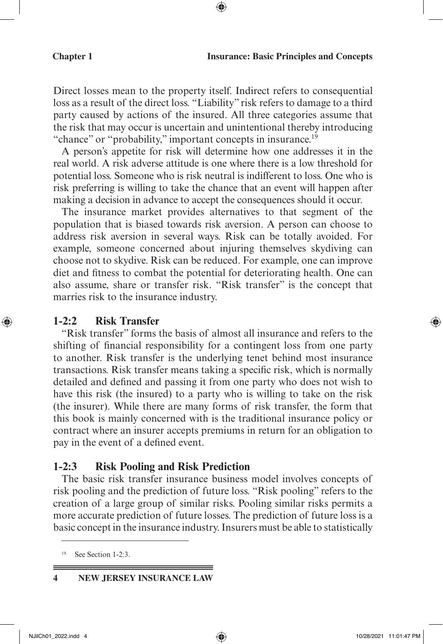Direct losses mean to the property itself. Indirect refers to consequential loss as a result of the direct loss. "Liability" risk refers to damage to a third party caused by actions of the insured. All three categories assume that the risk that may occur is uncertain and unintentional thereby introducing "chance" or "probability," important concepts in insurance.<sup>19</sup>

⊕

A person's appetite for risk will determine how one addresses it in the real world. A risk adverse attitude is one where there is a low threshold for potential loss. Someone who is risk neutral is indifferent to loss. One who is risk preferring is willing to take the chance that an event will happen after making a decision in advance to accept the consequences should it occur.

The insurance market provides alternatives to that segment of the population that is biased towards risk aversion. A person can choose to address risk aversion in several ways. Risk can be totally avoided. For example, someone concerned about injuring themselves skydiving can choose not to skydive. Risk can be reduced. For example, one can improve diet and fitness to combat the potential for deteriorating health. One can also assume, share or transfer risk. "Risk transfer" is the concept that marries risk to the insurance industry.

#### **1-2:2 Risk Transfer**

⊕

"Risk transfer" forms the basis of almost all insurance and refers to the shifting of financial responsibility for a contingent loss from one party to another. Risk transfer is the underlying tenet behind most insurance transactions. Risk transfer means taking a specific risk, which is normally detailed and defined and passing it from one party who does not wish to have this risk (the insured) to a party who is willing to take on the risk (the insurer). While there are many forms of risk transfer, the form that this book is mainly concerned with is the traditional insurance policy or contract where an insurer accepts premiums in return for an obligation to pay in the event of a defined event.

#### **1-2:3 Risk Pooling and Risk Prediction**

The basic risk transfer insurance business model involves concepts of risk pooling and the prediction of future loss. "Risk pooling" refers to the creation of a large group of similar risks. Pooling similar risks permits a more accurate prediction of future losses. The prediction of future loss is a basic concept in the insurance industry. Insurers must be able to statistically

See Section 1-2:3.

**<sup>4</sup> NEW JERSEY INSURANCE LAW**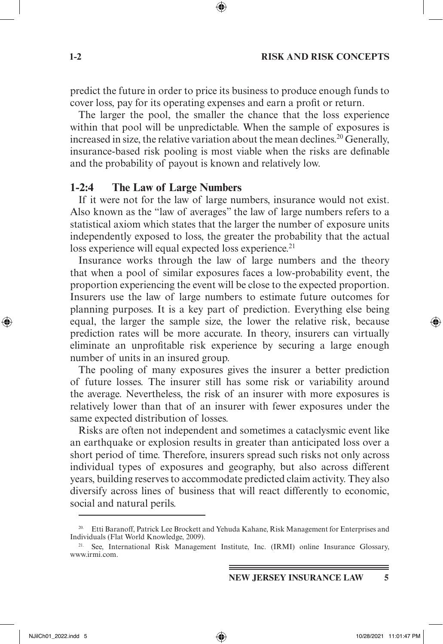#### **1-2 RISK AND RISK CONCEPTS**

predict the future in order to price its business to produce enough funds to cover loss, pay for its operating expenses and earn a profit or return.

The larger the pool, the smaller the chance that the loss experience within that pool will be unpredictable. When the sample of exposures is increased in size, the relative variation about the mean declines.<sup>20</sup> Generally, insurance-based risk pooling is most viable when the risks are definable and the probability of payout is known and relatively low.

#### **1-2:4 The Law of Large Numbers**

If it were not for the law of large numbers, insurance would not exist. Also known as the "law of averages" the law of large numbers refers to a statistical axiom which states that the larger the number of exposure units independently exposed to loss, the greater the probability that the actual loss experience will equal expected loss experience.<sup>21</sup>

Insurance works through the law of large numbers and the theory that when a pool of similar exposures faces a low-probability event, the proportion experiencing the event will be close to the expected proportion. Insurers use the law of large numbers to estimate future outcomes for planning purposes. It is a key part of prediction. Everything else being equal, the larger the sample size, the lower the relative risk, because prediction rates will be more accurate. In theory, insurers can virtually eliminate an unprofitable risk experience by securing a large enough number of units in an insured group.

The pooling of many exposures gives the insurer a better prediction of future losses. The insurer still has some risk or variability around the average. Nevertheless, the risk of an insurer with more exposures is relatively lower than that of an insurer with fewer exposures under the same expected distribution of losses.

Risks are often not independent and sometimes a cataclysmic event like an earthquake or explosion results in greater than anticipated loss over a short period of time. Therefore, insurers spread such risks not only across individual types of exposures and geography, but also across different years, building reserves to accommodate predicted claim activity. They also diversify across lines of business that will react differently to economic, social and natural perils.

⊕

<sup>&</sup>lt;sup>20.</sup> Etti Baranoff, Patrick Lee Brockett and Yehuda Kahane, Risk Management for Enterprises and Individuals (Flat World Knowledge, 2009).

<sup>&</sup>lt;sup>21.</sup> See, International Risk Management Institute, Inc. (IRMI) online Insurance Glossary, www.irmi.com.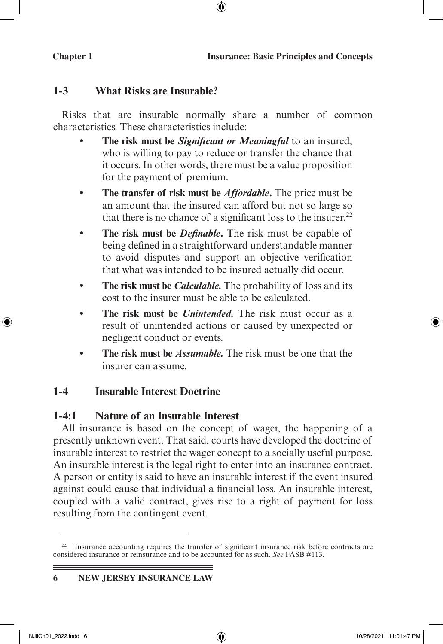## **1-3 What Risks are Insurable?**

Risks that are insurable normally share a number of common characteristics. These characteristics include:

⊕

- **The risk must be** *Significant or Meaningful* **to an insured,** who is willing to pay to reduce or transfer the chance that it occurs. In other words, there must be a value proposition for the payment of premium.
- **• The transfer of risk must be** *Affordable***.** The price must be an amount that the insured can afford but not so large so that there is no chance of a significant loss to the insurer. $^{22}$
- **• The risk must be** *Definable***.** The risk must be capable of being defined in a straightforward understandable manner to avoid disputes and support an objective verification that what was intended to be insured actually did occur.
- **The risk must be** *Calculable*. The probability of loss and its cost to the insurer must be able to be calculated.
- **The risk must be** *Unintended*. The risk must occur as a result of unintended actions or caused by unexpected or negligent conduct or events.
- **• The risk must be** *Assumable.* The risk must be one that the insurer can assume.

## **1-4 Insurable Interest Doctrine**

## **1-4:1 Nature of an Insurable Interest**

All insurance is based on the concept of wager, the happening of a presently unknown event. That said, courts have developed the doctrine of insurable interest to restrict the wager concept to a socially useful purpose. An insurable interest is the legal right to enter into an insurance contract. A person or entity is said to have an insurable interest if the event insured against could cause that individual a financial loss. An insurable interest, coupled with a valid contract, gives rise to a right of payment for loss resulting from the contingent event.

⊕

<sup>&</sup>lt;sup>22.</sup> Insurance accounting requires the transfer of significant insurance risk before contracts are considered insurance or reinsurance and to be accounted for as such. *See* FASB #113.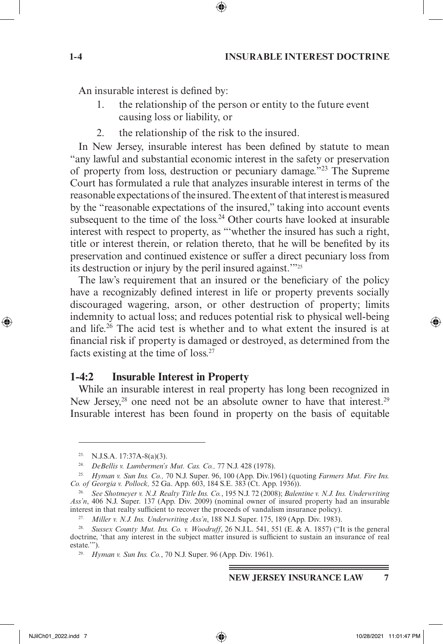#### **1-4 INSURABLE INTEREST DOCTRINE**

An insurable interest is defined by:

- 1. the relationship of the person or entity to the future event causing loss or liability, or
- 2. the relationship of the risk to the insured.

In New Jersey, insurable interest has been defined by statute to mean "any lawful and substantial economic interest in the safety or preservation of property from loss, destruction or pecuniary damage."23 The Supreme Court has formulated a rule that analyzes insurable interest in terms of the reasonable expectations of the insured. The extent of that interest is measured by the "reasonable expectations of the insured," taking into account events subsequent to the time of the loss.<sup>24</sup> Other courts have looked at insurable interest with respect to property, as "'whether the insured has such a right, title or interest therein, or relation thereto, that he will be benefited by its preservation and continued existence or suffer a direct pecuniary loss from its destruction or injury by the peril insured against.'"25

The law's requirement that an insured or the beneficiary of the policy have a recognizably defined interest in life or property prevents socially discouraged wagering, arson, or other destruction of property; limits indemnity to actual loss; and reduces potential risk to physical well-being and life.<sup>26</sup> The acid test is whether and to what extent the insured is at financial risk if property is damaged or destroyed, as determined from the facts existing at the time of loss.27

#### **1-4:2 Insurable Interest in Property**

While an insurable interest in real property has long been recognized in New Jersey,<sup>28</sup> one need not be an absolute owner to have that interest.<sup>29</sup> Insurable interest has been found in property on the basis of equitable

↔

 $23.$  N.J.S.A. 17:37A-8(a)(3).

<sup>24.</sup> *DeBellis v. Lumbermen's Mut. Cas. Co.,* 77 N.J. 428 (1978).

<sup>25.</sup> *Hyman v. Sun Ins. Co.,* 70 N.J. Super. 96, 100 (App. Div.1961) (quoting *Farmers Mut. Fire Ins. Co. of Georgia v. Pollock,* 52 Ga. App. 603, 184 S.E. 383 (Ct. App. 1936)).

<sup>26.</sup> *See Shotmeyer v. N.J. Realty Title Ins. Co.*, 195 N.J. 72 (2008); *Balentine v. N.J. Ins. Underwriting Ass'n*, 406 N.J. Super. 137 (App. Div. 2009) (nominal owner of insured property had an insurable interest in that realty sufficient to recover the proceeds of vandalism insurance policy).

<sup>27.</sup> *Miller v. N.J. Ins. Underwriting Ass'n*, 188 N.J. Super. 175, 189 (App. Div. 1983).

<sup>28.</sup> *Sussex County Mut. Ins. Co. v. Woodruff*, 26 N.J.L. 541, 551 (E. & A. 1857) ("It is the general doctrine, 'that any interest in the subject matter insured is sufficient to sustain an insurance of real estate.'").

<sup>29.</sup> *Hyman v. Sun Ins. Co.*, 70 N.J. Super. 96 (App. Div. 1961).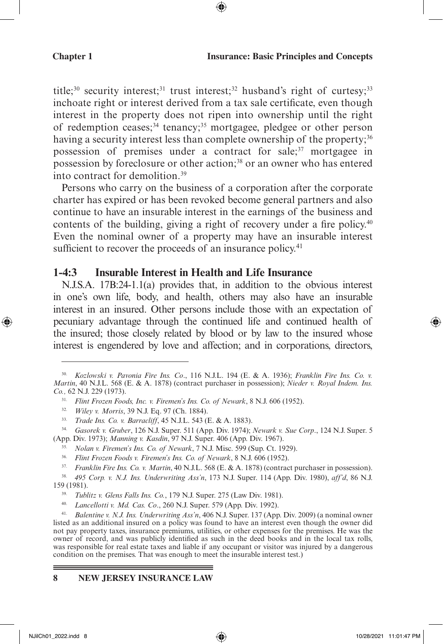title;<sup>30</sup> security interest;<sup>31</sup> trust interest;<sup>32</sup> husband's right of curtesy;<sup>33</sup> inchoate right or interest derived from a tax sale certificate, even though interest in the property does not ripen into ownership until the right of redemption ceases;<sup>34</sup> tenancy;<sup>35</sup> mortgagee, pledgee or other person having a security interest less than complete ownership of the property;<sup>36</sup> possession of premises under a contract for sale;<sup>37</sup> mortgagee in possession by foreclosure or other action;<sup>38</sup> or an owner who has entered into contract for demolition.39

Persons who carry on the business of a corporation after the corporate charter has expired or has been revoked become general partners and also continue to have an insurable interest in the earnings of the business and contents of the building, giving a right of recovery under a fire policy.40 Even the nominal owner of a property may have an insurable interest sufficient to recover the proceeds of an insurance policy.<sup>41</sup>

#### **1-4:3 Insurable Interest in Health and Life Insurance**

N.J.S.A. 17B:24-1.1(a) provides that, in addition to the obvious interest in one's own life, body, and health, others may also have an insurable interest in an insured. Other persons include those with an expectation of pecuniary advantage through the continued life and continued health of the insured; those closely related by blood or by law to the insured whose interest is engendered by love and affection; and in corporations, directors,

- 35. *Nolan v. Firemen's Ins. Co. of Newark*, 7 N.J. Misc. 599 (Sup. Ct. 1929).
- 36. *Flint Frozen Foods v. Firemen's Ins. Co. of Newark*, 8 N.J. 606 (1952).

37. *Franklin Fire Ins. Co. v. Martin*, 40 N.J.L. 568 (E. & A. 1878) (contract purchaser in possession).

38. *495 Corp. v. N.J. Ins. Underwriting Ass'n*, 173 N.J. Super. 114 (App. Div. 1980), *aff'd*, 86 N.J. 159 (1981).

40. *Lancellotti v. Md. Cas. Co*., 260 N.J. Super. 579 (App. Div. 1992).

41. *Balentine v. N.J. Ins. Underwriting Ass'n*, 406 N.J. Super. 137 (App. Div. 2009) (a nominal owner listed as an additional insured on a policy was found to have an interest even though the owner did not pay property taxes, insurance premiums, utilities, or other expenses for the premises. He was the owner of record, and was publicly identified as such in the deed books and in the local tax rolls, was responsible for real estate taxes and liable if any occupant or visitor was injured by a dangerous condition on the premises. That was enough to meet the insurable interest test.)

#### **8 NEW JERSEY INSURANCE LAW**

⊕

<sup>30.</sup> *Kozlowski v. Pavonia Fire Ins. Co*., 116 N.J.L. 194 (E. & A. 1936); *Franklin Fire Ins. Co. v. Martin*, 40 N.J.L. 568 (E. & A. 1878) (contract purchaser in possession); *Nieder v. Royal Indem. Ins. Co.,* 62 N.J. 229 (1973).

<sup>31.</sup> *Flint Frozen Foods, Inc. v. Firemen's Ins. Co. of Newark*, 8 N.J. 606 (1952).

<sup>32.</sup> *Wiley v. Morris*, 39 N.J. Eq. 97 (Ch. 1884).

<sup>33.</sup> *Trade Ins. Co. v. Barracliff*, 45 N.J.L. 543 (E. & A. 1883).

<sup>34.</sup> *Gasorek v. Gruber*, 126 N.J. Super. 511 (App. Div. 1974); *Newark v. Sue Corp*., 124 N.J. Super. 5 (App. Div. 1973); *Manning v. Kasdin*, 97 N.J. Super. 406 (App. Div. 1967).

<sup>39.</sup> *Tublitz v. Glens Falls Ins. Co.*, 179 N.J. Super. 275 (Law Div. 1981).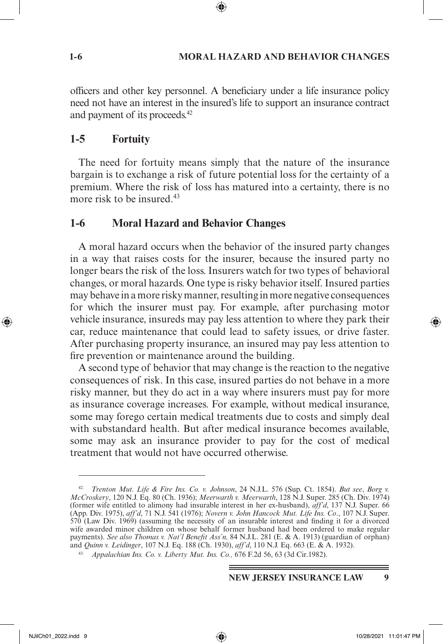#### **1-6 MORAL HAZARD AND BEHAVIOR CHANGES**

officers and other key personnel. A beneficiary under a life insurance policy need not have an interest in the insured's life to support an insurance contract and payment of its proceeds.42

## **1-5 Fortuity**

The need for fortuity means simply that the nature of the insurance bargain is to exchange a risk of future potential loss for the certainty of a premium. Where the risk of loss has matured into a certainty, there is no more risk to be insured.<sup>43</sup>

## **1-6 Moral Hazard and Behavior Changes**

A moral hazard occurs when the behavior of the insured party changes in a way that raises costs for the insurer, because the insured party no longer bears the risk of the loss. Insurers watch for two types of behavioral changes, or moral hazards. One type is risky behavior itself. Insured parties may behave in a more risky manner, resulting in more negative consequences for which the insurer must pay. For example, after purchasing motor vehicle insurance, insureds may pay less attention to where they park their car, reduce maintenance that could lead to safety issues, or drive faster. After purchasing property insurance, an insured may pay less attention to fire prevention or maintenance around the building.

A second type of behavior that may change is the reaction to the negative consequences of risk. In this case, insured parties do not behave in a more risky manner, but they do act in a way where insurers must pay for more as insurance coverage increases. For example, without medical insurance, some may forego certain medical treatments due to costs and simply deal with substandard health. But after medical insurance becomes available, some may ask an insurance provider to pay for the cost of medical treatment that would not have occurred otherwise.

⊕

<sup>42.</sup> *Trenton Mut. Life & Fire Ins. Co. v. Johnson*, 24 N.J.L. 576 (Sup. Ct. 1854). *But see*, *Borg v. McCroskery*, 120 N.J. Eq. 80 (Ch. 1936); *Meerwarth v. Meerwarth*, 128 N.J. Super. 285 (Ch. Div. 1974) (former wife entitled to alimony had insurable interest in her ex-husband), *aff'd*, 137 N.J. Super. 66 (App. Div. 1975), *aff'd*, 71 N.J. 541 (1976); *Novern v. John Hancock Mut. Life Ins. Co*., 107 N.J. Super. 570 (Law Div. 1969) (assuming the necessity of an insurable interest and finding it for a divorced wife awarded minor children on whose behalf former husband had been ordered to make regular payments). *See also Thomas v. Nat'l Benefit Ass'n,* 84 N.J.L. 281 (E. & A. 1913) (guardian of orphan) and *Quinn v. Leidinger*, 107 N.J. Eq. 188 (Ch. 1930), *aff'd*, 110 N.J. Eq. 663 (E. & A. 1932).

<sup>43.</sup> *Appalachian Ins. Co. v. Liberty Mut. Ins. Co.,* 676 F.2d 56, 63 (3d Cir.1982).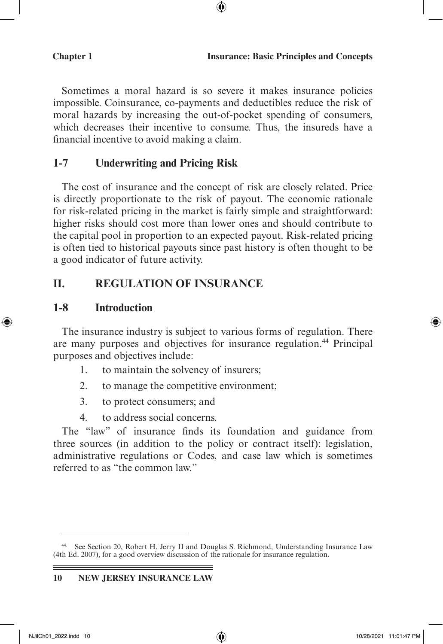Sometimes a moral hazard is so severe it makes insurance policies impossible. Coinsurance, co-payments and deductibles reduce the risk of moral hazards by increasing the out-of-pocket spending of consumers, which decreases their incentive to consume. Thus, the insureds have a financial incentive to avoid making a claim.

⊕

#### **1-7 Underwriting and Pricing Risk**

The cost of insurance and the concept of risk are closely related. Price is directly proportionate to the risk of payout. The economic rationale for risk-related pricing in the market is fairly simple and straightforward: higher risks should cost more than lower ones and should contribute to the capital pool in proportion to an expected payout. Risk-related pricing is often tied to historical payouts since past history is often thought to be a good indicator of future activity.

#### **II. REGULATION OF INSURANCE**

#### **1-8 Introduction**

⊕

The insurance industry is subject to various forms of regulation. There are many purposes and objectives for insurance regulation.<sup>44</sup> Principal purposes and objectives include:

- 1. to maintain the solvency of insurers;
- 2. to manage the competitive environment;
- 3. to protect consumers; and
- 4. to address social concerns.

The "law" of insurance finds its foundation and guidance from three sources (in addition to the policy or contract itself): legislation, administrative regulations or Codes, and case law which is sometimes referred to as "the common law."

<sup>44.</sup> See Section 20, Robert H. Jerry II and Douglas S. Richmond, Understanding Insurance Law (4th Ed. 2007), for a good overview discussion of the rationale for insurance regulation.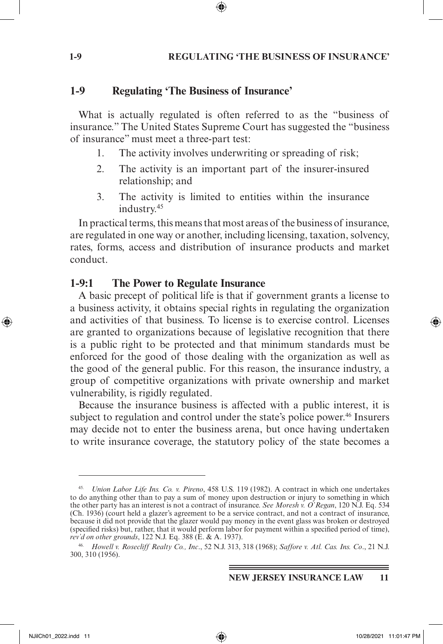#### **1-9 REGULATING 'THE BUSINESS OF INSURANCE'**

#### **1-9 Regulating 'The Business of Insurance'**

What is actually regulated is often referred to as the "business of insurance." The United States Supreme Court has suggested the "business of insurance" must meet a three-part test:

- 1. The activity involves underwriting or spreading of risk;
- 2. The activity is an important part of the insurer-insured relationship; and
- 3. The activity is limited to entities within the insurance industry.45

In practical terms, this means that most areas of the business of insurance, are regulated in one way or another, including licensing, taxation, solvency, rates, forms, access and distribution of insurance products and market conduct.

#### **1-9:1 The Power to Regulate Insurance**

A basic precept of political life is that if government grants a license to a business activity, it obtains special rights in regulating the organization and activities of that business. To license is to exercise control. Licenses are granted to organizations because of legislative recognition that there is a public right to be protected and that minimum standards must be enforced for the good of those dealing with the organization as well as the good of the general public. For this reason, the insurance industry, a group of competitive organizations with private ownership and market vulnerability, is rigidly regulated.

Because the insurance business is affected with a public interest, it is subject to regulation and control under the state's police power.<sup>46</sup> Insurers may decide not to enter the business arena, but once having undertaken to write insurance coverage, the statutory policy of the state becomes a

↔

<sup>45.</sup> *Union Labor Life Ins. Co. v. Pireno*, 458 U.S. 119 (1982). A contract in which one undertakes to do anything other than to pay a sum of money upon destruction or injury to something in which the other party has an interest is not a contract of insurance. *See Moresh v. O'Regan*, 120 N.J. Eq. 534 (Ch. 1936) (court held a glazer's agreement to be a service contract, and not a contract of insurance, because it did not provide that the glazer would pay money in the event glass was broken or destroyed (specified risks) but, rather, that it would perform labor for payment within a specified period of time), *rev'd on other grounds*, 122 N.J. Eq. 388 (E. & A. 1937).

<sup>46.</sup> *Howell v. Rosecliff Realty Co., Inc*., 52 N.J. 313, 318 (1968); *Saffore v. Atl. Cas. Ins. Co*., 21 N.J. 300, 310 (1956).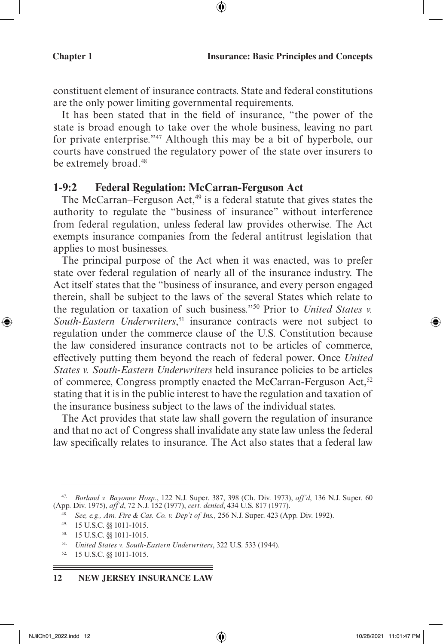constituent element of insurance contracts. State and federal constitutions are the only power limiting governmental requirements.

⊕

It has been stated that in the field of insurance, "the power of the state is broad enough to take over the whole business, leaving no part for private enterprise."47 Although this may be a bit of hyperbole, our courts have construed the regulatory power of the state over insurers to be extremely broad.<sup>48</sup>

#### **1-9:2 Federal Regulation: McCarran-Ferguson Act**

The McCarran–Ferguson Act, $49$  is a federal statute that gives states the authority to regulate the "business of insurance" without interference from federal regulation, unless federal law provides otherwise. The Act exempts insurance companies from the federal antitrust legislation that applies to most businesses.

The principal purpose of the Act when it was enacted, was to prefer state over federal regulation of nearly all of the insurance industry. The Act itself states that the "business of insurance, and every person engaged therein, shall be subject to the laws of the several States which relate to the regulation or taxation of such business."50 Prior to *United States v.*  South-Eastern Underwriters,<sup>51</sup> insurance contracts were not subject to regulation under the commerce clause of the U.S. Constitution because the law considered insurance contracts not to be articles of commerce, effectively putting them beyond the reach of federal power. Once *United States v. South-Eastern Underwriters* held insurance policies to be articles of commerce, Congress promptly enacted the McCarran-Ferguson Act,<sup>52</sup> stating that it is in the public interest to have the regulation and taxation of the insurance business subject to the laws of the individual states.

The Act provides that state law shall govern the regulation of insurance and that no act of Congress shall invalidate any state law unless the federal law specifically relates to insurance. The Act also states that a federal law

#### **12 NEW JERSEY INSURANCE LAW**

⊕

<sup>47.</sup> *Borland v. Bayonne Hosp*., 122 N.J. Super. 387, 398 (Ch. Div. 1973), *aff'd*, 136 N.J. Super. 60 (App. Div. 1975), *aff'd*, 72 N.J. 152 (1977), *cert. denied*, 434 U.S. 817 (1977).

<sup>48.</sup> *See, e.g., Am. Fire & Cas. Co. v. Dep't of Ins.,* 256 N.J. Super. 423 (App. Div. 1992).

<sup>49.</sup> 15 U.S.C. §§ 1011-1015.

<sup>50.</sup> 15 U.S.C. §§ 1011-1015.

<sup>51.</sup> *United States v. South-Eastern Underwriters*, 322 U.S. 533 (1944).

<sup>52.</sup> 15 U.S.C. §§ 1011-1015.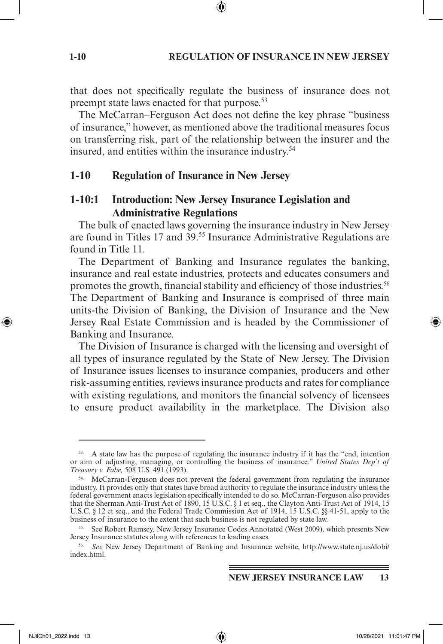#### **1-10 REGULATION OF INSURANCE IN NEW JERSEY**

that does not specifically regulate the business of insurance does not preempt state laws enacted for that purpose.<sup>53</sup>

The McCarran–Ferguson Act does not define the key phrase "business of insurance," however, as mentioned above the traditional measures focus on transferring risk, part of the relationship between the insurer and the insured, and entities within the insurance industry.<sup>54</sup>

#### **1-10 Regulation of Insurance in New Jersey**

## **1-10:1 Introduction: New Jersey Insurance Legislation and Administrative Regulations**

The bulk of enacted laws governing the insurance industry in New Jersey are found in Titles 17 and 39.<sup>55</sup> Insurance Administrative Regulations are found in Title 11.

The Department of Banking and Insurance regulates the banking, insurance and real estate industries, protects and educates consumers and promotes the growth, financial stability and efficiency of those industries.56 The Department of Banking and Insurance is comprised of three main units-the Division of Banking, the Division of Insurance and the New Jersey Real Estate Commission and is headed by the Commissioner of Banking and Insurance.

The Division of Insurance is charged with the licensing and oversight of all types of insurance regulated by the State of New Jersey. The Division of Insurance issues licenses to insurance companies, producers and other risk-assuming entities, reviews insurance products and rates for compliance with existing regulations, and monitors the financial solvency of licensees to ensure product availability in the marketplace. The Division also

↔

<sup>53.</sup> A state law has the purpose of regulating the insurance industry if it has the "end, intention or aim of adjusting, managing, or controlling the business of insurance." *United States Dep't of Treasury v. Fabe,* 508 U.S. 491 (1993).

<sup>54.</sup> McCarran-Ferguson does not prevent the federal government from regulating the insurance industry. It provides only that states have broad authority to regulate the insurance industry unless the federal government enacts legislation specifically intended to do so. McCarran-Ferguson also provides that the Sherman Anti-Trust Act of 1890, 15 U.S.C. § 1 et seq., the Clayton Anti-Trust Act of 1914, 15 U.S.C. § 12 et seq., and the Federal Trade Commission Act of 1914, 15 U.S.C. §§ 41-51, apply to the business of insurance to the extent that such business is not regulated by state law.

<sup>55.</sup> See Robert Ramsey, New Jersey Insurance Codes Annotated (West 2009), which presents New Jersey Insurance statutes along with references to leading cases.

<sup>56.</sup> *See* New Jersey Department of Banking and Insurance website, http://www.state.nj.us/dobi/ index.html.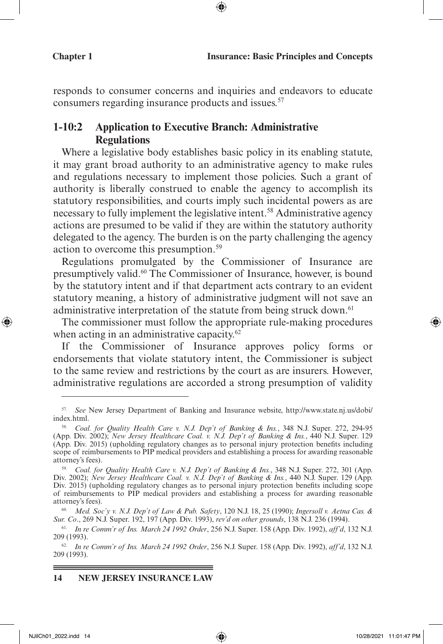responds to consumer concerns and inquiries and endeavors to educate consumers regarding insurance products and issues.<sup>57</sup>

⊕

## **1-10:2 Application to Executive Branch: Administrative Regulations**

Where a legislative body establishes basic policy in its enabling statute, it may grant broad authority to an administrative agency to make rules and regulations necessary to implement those policies. Such a grant of authority is liberally construed to enable the agency to accomplish its statutory responsibilities, and courts imply such incidental powers as are necessary to fully implement the legislative intent.<sup>58</sup> Administrative agency actions are presumed to be valid if they are within the statutory authority delegated to the agency. The burden is on the party challenging the agency action to overcome this presumption.59

Regulations promulgated by the Commissioner of Insurance are presumptively valid.60 The Commissioner of Insurance, however, is bound by the statutory intent and if that department acts contrary to an evident statutory meaning, a history of administrative judgment will not save an administrative interpretation of the statute from being struck down.<sup>61</sup>

The commissioner must follow the appropriate rule-making procedures when acting in an administrative capacity.<sup>62</sup>

If the Commissioner of Insurance approves policy forms or endorsements that violate statutory intent, the Commissioner is subject to the same review and restrictions by the court as are insurers. However, administrative regulations are accorded a strong presumption of validity

#### **14 NEW JERSEY INSURANCE LAW**

⊕

<sup>57.</sup> *See* New Jersey Department of Banking and Insurance website, http://www.state.nj.us/dobi/ index.html.

<sup>58.</sup> *Coal. for Quality Health Care v. N.J. Dep't of Banking & Ins.*, 348 N.J. Super. 272, 294-95 (App. Div. 2002); *New Jersey Healthcare Coal. v. N.J. Dep't of Banking & Ins.*, 440 N.J. Super. 129 (App. Div. 2015) (upholding regulatory changes as to personal injury protection benefits including scope of reimbursements to PIP medical providers and establishing a process for awarding reasonable attorney's fees).

<sup>59.</sup> *Coal. for Quality Health Care v. N.J. Dep't of Banking & Ins.*, 348 N.J. Super. 272, 301 (App. Div. 2002); New Jersey Healthcare Coal. v. N.J. Dep't of Banking & Ins., 440 N.J. Super. 129 (App. Div. 2015) (upholding regulatory changes as to personal injury protection benefits including scope of reimbursements to PIP medical providers and establishing a process for awarding reasonable attorney's fees).

<sup>60.</sup> *Med. Soc'y v. N.J. Dep't of Law & Pub. Safety*, 120 N.J. 18, 25 (1990); *Ingersoll v. Aetna Cas. & Sur. Co*., 269 N.J. Super. 192, 197 (App. Div. 1993), *rev'd on other grounds*, 138 N.J. 236 (1994).

<sup>61.</sup> *In re Comm'r of Ins. March 24 1992 Order*, 256 N.J. Super. 158 (App. Div. 1992), *aff'd*, 132 N.J. 209 (1993).

<sup>62.</sup> *In re Comm'r of Ins. March 24 1992 Order*, 256 N.J. Super. 158 (App. Div. 1992), *aff'd*, 132 N.J. 209 (1993).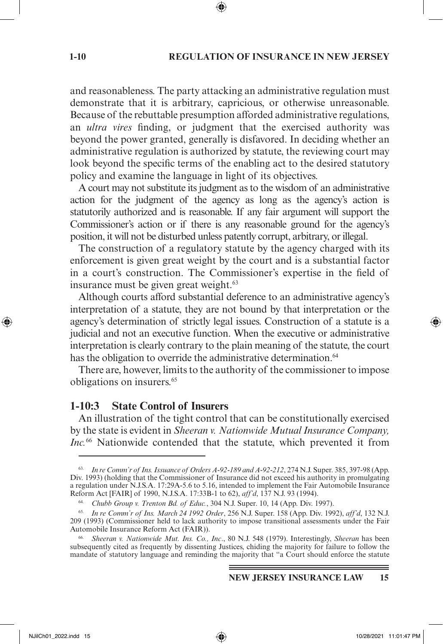#### **1-10 REGULATION OF INSURANCE IN NEW JERSEY**

and reasonableness. The party attacking an administrative regulation must demonstrate that it is arbitrary, capricious, or otherwise unreasonable. Because of the rebuttable presumption afforded administrative regulations, an *ultra vires* finding, or judgment that the exercised authority was beyond the power granted, generally is disfavored. In deciding whether an administrative regulation is authorized by statute, the reviewing court may look beyond the specific terms of the enabling act to the desired statutory policy and examine the language in light of its objectives.

A court may not substitute its judgment as to the wisdom of an administrative action for the judgment of the agency as long as the agency's action is statutorily authorized and is reasonable. If any fair argument will support the Commissioner's action or if there is any reasonable ground for the agency's position, it will not be disturbed unless patently corrupt, arbitrary, or illegal.

The construction of a regulatory statute by the agency charged with its enforcement is given great weight by the court and is a substantial factor in a court's construction. The Commissioner's expertise in the field of insurance must be given great weight.<sup>63</sup>

Although courts afford substantial deference to an administrative agency's interpretation of a statute, they are not bound by that interpretation or the agency's determination of strictly legal issues. Construction of a statute is a judicial and not an executive function. When the executive or administrative interpretation is clearly contrary to the plain meaning of the statute, the court has the obligation to override the administrative determination.<sup>64</sup>

There are, however, limits to the authority of the commissioner to impose obligations on insurers.65

#### **1-10:3 State Control of Insurers**

An illustration of the tight control that can be constitutionally exercised by the state is evident in *Sheeran v. Nationwide Mutual Insurance Company, Inc.*66 Nationwide contended that the statute, which prevented it from

⊕

<sup>63.</sup> *In re Comm'r of Ins. Issuance of Orders A-92-189 and A-92-212*, 274 N.J. Super. 385, 397-98 (App. Div. 1993) (holding that the Commissioner of Insurance did not exceed his authority in promulgating a regulation under N.J.S.A. 17:29A-5.6 to 5.16, intended to implement the Fair Automobile Insurance Reform Act [FAIR] of 1990, N.J.S.A. 17:33B-1 to 62), *aff'd*, 137 N.J. 93 (1994).

<sup>64.</sup> *Chubb Group v. Trenton Bd. of Educ.*, 304 N.J. Super. 10, 14 (App. Div. 1997).

<sup>65.</sup> *In re Comm'r of Ins. March 24 1992 Order*, 256 N.J. Super. 158 (App. Div. 1992), *aff'd*, 132 N.J. 209 (1993) (Commissioner held to lack authority to impose transitional assessments under the Fair Automobile Insurance Reform Act (FAIR)).

<sup>66.</sup> *Sheeran v. Nationwide Mut. Ins. Co., Inc*., 80 N.J. 548 (1979). Interestingly, *Sheeran* has been subsequently cited as frequently by dissenting Justices, chiding the majority for failure to follow the mandate of statutory language and reminding the majority that "a Court should enforce the statute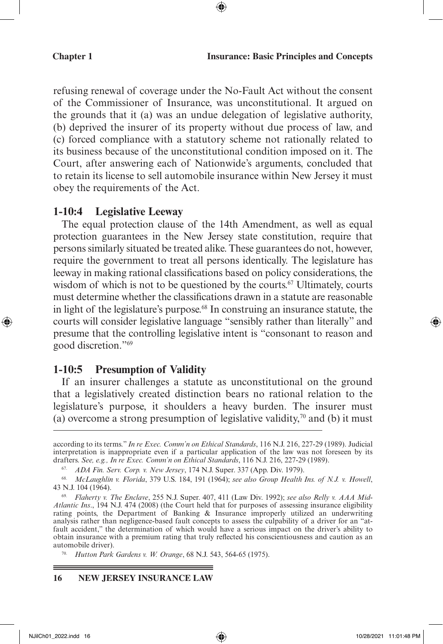refusing renewal of coverage under the No-Fault Act without the consent of the Commissioner of Insurance, was unconstitutional. It argued on the grounds that it (a) was an undue delegation of legislative authority, (b) deprived the insurer of its property without due process of law, and (c) forced compliance with a statutory scheme not rationally related to its business because of the unconstitutional condition imposed on it. The Court, after answering each of Nationwide's arguments, concluded that to retain its license to sell automobile insurance within New Jersey it must obey the requirements of the Act.

#### **1-10:4 Legislative Leeway**

The equal protection clause of the 14th Amendment, as well as equal protection guarantees in the New Jersey state constitution, require that persons similarly situated be treated alike. These guarantees do not, however, require the government to treat all persons identically. The legislature has leeway in making rational classifications based on policy considerations, the wisdom of which is not to be questioned by the courts.<sup>67</sup> Ultimately, courts must determine whether the classifications drawn in a statute are reasonable in light of the legislature's purpose.<sup>68</sup> In construing an insurance statute, the courts will consider legislative language "sensibly rather than literally" and presume that the controlling legislative intent is "consonant to reason and good discretion."69

#### **1-10:5 Presumption of Validity**

If an insurer challenges a statute as unconstitutional on the ground that a legislatively created distinction bears no rational relation to the legislature's purpose, it shoulders a heavy burden. The insurer must (a) overcome a strong presumption of legislative validity,<sup>70</sup> and (b) it must

#### **16 NEW JERSEY INSURANCE LAW**

==

⊕

according to its terms." *In re Exec. Comm'n on Ethical Standards*, 116 N.J. 216, 227-29 (1989). Judicial interpretation is inappropriate even if a particular application of the law was not foreseen by its drafters. *See, e.g., In re Exec. Comm'n on Ethical Standards*, 116 N.J. 216, 227-29 (1989).

<sup>67.</sup> *ADA Fin. Serv. Corp. v. New Jersey*, 174 N.J. Super. 337 (App. Div. 1979).

<sup>68.</sup> *McLaughlin v. Florida*, 379 U.S. 184, 191 (1964); *see also Group Health Ins. of N.J. v. Howell*, 43 N.J. 104 (1964).

<sup>69.</sup> *Flaherty v. The Enclave*, 255 N.J. Super. 407, 411 (Law Div. 1992); *see also Relly v. AAA Mid-Atlantic Ins*., 194 N.J. 474 (2008) (the Court held that for purposes of assessing insurance eligibility rating points, the Department of Banking & Insurance improperly utilized an underwriting analysis rather than negligence-based fault concepts to assess the culpability of a driver for an "atfault accident," the determination of which would have a serious impact on the driver's ability to obtain insurance with a premium rating that truly reflected his conscientiousness and caution as an automobile driver).

<sup>70.</sup> *Hutton Park Gardens v. W. Orange*, 68 N.J. 543, 564-65 (1975).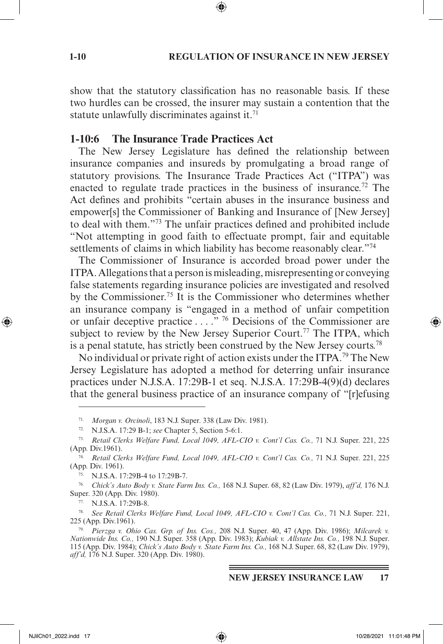#### **1-10 REGULATION OF INSURANCE IN NEW JERSEY**

show that the statutory classification has no reasonable basis. If these two hurdles can be crossed, the insurer may sustain a contention that the statute unlawfully discriminates against it.<sup>71</sup>

#### **1-10:6 The Insurance Trade Practices Act**

The New Jersey Legislature has defined the relationship between insurance companies and insureds by promulgating a broad range of statutory provisions. The Insurance Trade Practices Act ("ITPA") was enacted to regulate trade practices in the business of insurance.<sup>72</sup> The Act defines and prohibits "certain abuses in the insurance business and empower[s] the Commissioner of Banking and Insurance of [New Jersey] to deal with them."73 The unfair practices defined and prohibited include "Not attempting in good faith to effectuate prompt, fair and equitable settlements of claims in which liability has become reasonably clear."<sup>74</sup>

The Commissioner of Insurance is accorded broad power under the ITPA. Allegations that a person is misleading, misrepresenting or conveying false statements regarding insurance policies are investigated and resolved by the Commissioner.75 It is the Commissioner who determines whether an insurance company is "engaged in a method of unfair competition or unfair deceptive practice . . . . "<sup>76</sup> Decisions of the Commissioner are subject to review by the New Jersey Superior Court.<sup>77</sup> The ITPA, which is a penal statute, has strictly been construed by the New Jersey courts.78

No individual or private right of action exists under the ITPA.<sup>79</sup> The New Jersey Legislature has adopted a method for deterring unfair insurance practices under N.J.S.A. 17:29B-1 et seq. N.J.S.A. 17:29B-4(9)(d) declares that the general business practice of an insurance company of "[r]efusing

⊕

<sup>71.</sup> *Morgan v. Orcinoli*, 183 N.J. Super. 338 (Law Div. 1981).

<sup>72.</sup> N.J.S.A. 17:29 B-1; *see* Chapter 5, Section 5-6:1.

<sup>73.</sup> *Retail Clerks Welfare Fund, Local 1049, AFL-CIO v. Cont'l Cas. Co.,* 71 N.J. Super. 221, 225 (App. Div.1961).

<sup>74.</sup> *Retail Clerks Welfare Fund, Local 1049, AFL-CIO v. Cont'l Cas. Co.,* 71 N.J. Super. 221, 225 (App. Div. 1961).

<sup>75.</sup> N.J.S.A. 17:29B-4 to 17:29B-7.

<sup>76.</sup> *Chick's Auto Body v. State Farm Ins. Co.,* 168 N.J. Super. 68, 82 (Law Div. 1979), *aff'd,* 176 N.J. Super. 320 (App. Div. 1980).

<sup>77.</sup> N.J.S.A. 17:29B-8.

<sup>78.</sup> *See Retail Clerks Welfare Fund, Local 1049, AFL-CIO v. Cont'l Cas. Co.,* 71 N.J. Super. 221, 225 (App. Div.1961).

<sup>79.</sup> *Pierzga v. Ohio Cas. Grp. of Ins. Cos.,* 208 N.J. Super. 40, 47 (App. Div. 1986); *Milcarek v. Nationwide Ins. Co.,* 190 N.J. Super. 358 (App. Div. 1983); *Kubiak v. Allstate Ins. Co.,* 198 N.J. Super. 115 (App. Div. 1984); *Chick's Auto Body v. State Farm Ins. Co.,* 168 N.J. Super. 68, 82 (Law Div. 1979), *aff'd,* 176 N.J. Super. 320 (App. Div. 1980).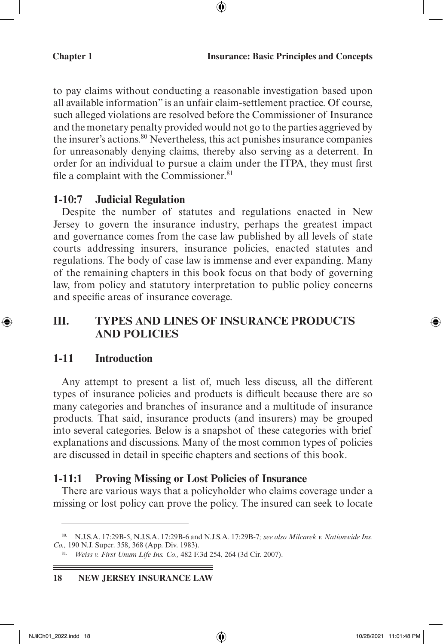to pay claims without conducting a reasonable investigation based upon all available information" is an unfair claim-settlement practice. Of course, such alleged violations are resolved before the Commissioner of Insurance and the monetary penalty provided would not go to the parties aggrieved by the insurer's actions.<sup>80</sup> Nevertheless, this act punishes insurance companies for unreasonably denying claims, thereby also serving as a deterrent. In order for an individual to pursue a claim under the ITPA, they must first file a complaint with the Commissioner.<sup>81</sup>

⊕

#### **1-10:7 Judicial Regulation**

Despite the number of statutes and regulations enacted in New Jersey to govern the insurance industry, perhaps the greatest impact and governance comes from the case law published by all levels of state courts addressing insurers, insurance policies, enacted statutes and regulations. The body of case law is immense and ever expanding. Many of the remaining chapters in this book focus on that body of governing law, from policy and statutory interpretation to public policy concerns and specific areas of insurance coverage.

## **III. TYPES AND LINES OF INSURANCE PRODUCTS AND POLICIES**

#### **1-11 Introduction**

 $\bigoplus$ 

Any attempt to present a list of, much less discuss, all the different types of insurance policies and products is difficult because there are so many categories and branches of insurance and a multitude of insurance products. That said, insurance products (and insurers) may be grouped into several categories. Below is a snapshot of these categories with brief explanations and discussions. Many of the most common types of policies are discussed in detail in specific chapters and sections of this book.

#### **1-11:1 Proving Missing or Lost Policies of Insurance**

There are various ways that a policyholder who claims coverage under a missing or lost policy can prove the policy. The insured can seek to locate

==

<sup>80.</sup> N.J.S.A. 17:29B-5, N.J.S.A. 17:29B-6 and N.J.S.A. 17:29B-7*; see also Milcarek v. Nationwide Ins. Co.,* 190 N.J. Super. 358, 368 (App. Div. 1983).

<sup>81.</sup> *Weiss v. First Unum Life Ins. Co.,* 482 F.3d 254, 264 (3d Cir. 2007).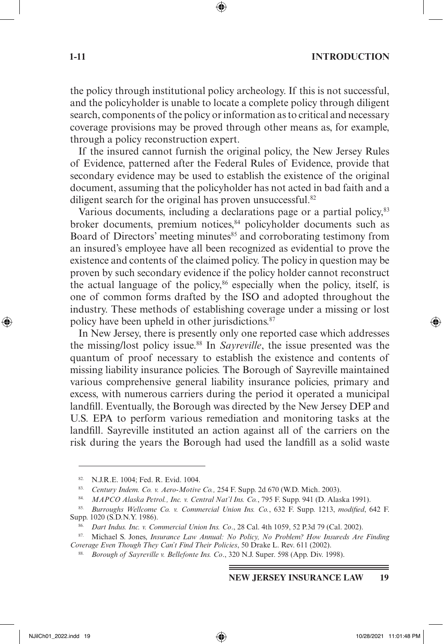#### **1-11 INTRODUCTION**

the policy through institutional policy archeology. If this is not successful, and the policyholder is unable to locate a complete policy through diligent search, components of the policy or information as to critical and necessary coverage provisions may be proved through other means as, for example, through a policy reconstruction expert.

If the insured cannot furnish the original policy, the New Jersey Rules of Evidence, patterned after the Federal Rules of Evidence, provide that secondary evidence may be used to establish the existence of the original document, assuming that the policyholder has not acted in bad faith and a diligent search for the original has proven unsuccessful.<sup>82</sup>

Various documents, including a declarations page or a partial policy,<sup>83</sup> broker documents, premium notices,<sup>84</sup> policyholder documents such as Board of Directors' meeting minutes<sup>85</sup> and corroborating testimony from an insured's employee have all been recognized as evidential to prove the existence and contents of the claimed policy. The policy in question may be proven by such secondary evidence if the policy holder cannot reconstruct the actual language of the policy, $86$  especially when the policy, itself, is one of common forms drafted by the ISO and adopted throughout the industry. These methods of establishing coverage under a missing or lost policy have been upheld in other jurisdictions.<sup>87</sup>

In New Jersey, there is presently only one reported case which addresses the missing/lost policy issue.88 In *Sayreville*, the issue presented was the quantum of proof necessary to establish the existence and contents of missing liability insurance policies. The Borough of Sayreville maintained various comprehensive general liability insurance policies, primary and excess, with numerous carriers during the period it operated a municipal landfill. Eventually, the Borough was directed by the New Jersey DEP and U.S. EPA to perform various remediation and monitoring tasks at the landfill. Sayreville instituted an action against all of the carriers on the risk during the years the Borough had used the landfill as a solid waste

⊕

<sup>82.</sup> N.J.R.E. 1004; Fed. R. Evid. 1004.

<sup>83.</sup> *Century Indem. Co. v. Aero-Motive Co.,* 254 F. Supp. 2d 670 (W.D. Mich. 2003).

<sup>84.</sup> *MAPCO Alaska Petrol., Inc. v. Central Nat'l Ins. Co.*, 795 F. Supp. 941 (D. Alaska 1991).

<sup>85.</sup> *Burroughs Wellcome Co. v. Commercial Union Ins. Co.*, 632 F. Supp. 1213, *modified*, 642 F. Supp. 1020 (S.D.N.Y. 1986).

<sup>86.</sup> *Dart Indus. Inc. v. Commercial Union Ins. Co*., 28 Cal. 4th 1059, 52 P.3d 79 (Cal. 2002).

<sup>87.</sup> Michael S. Jones, *Insurance Law Annual: No Policy, No Problem? How Insureds Are Finding Coverage Even Though They Can't Find Their Policies*, 50 Drake L. Rev. 611 (2002).

<sup>88.</sup> *Borough of Sayreville v. Bellefonte Ins. Co*., 320 N.J. Super. 598 (App. Div. 1998).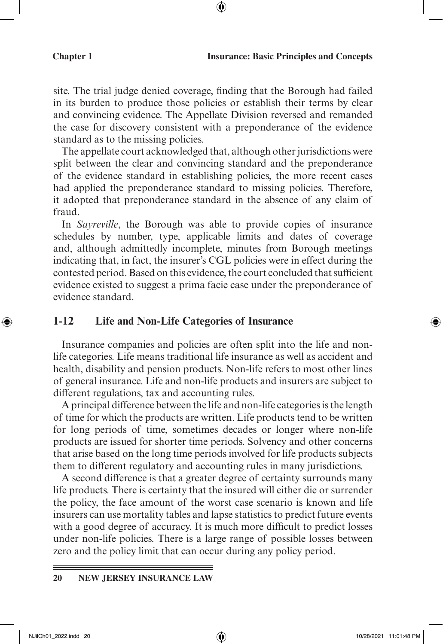site. The trial judge denied coverage, finding that the Borough had failed in its burden to produce those policies or establish their terms by clear and convincing evidence. The Appellate Division reversed and remanded the case for discovery consistent with a preponderance of the evidence standard as to the missing policies.

⊕

The appellate court acknowledged that, although other jurisdictions were split between the clear and convincing standard and the preponderance of the evidence standard in establishing policies, the more recent cases had applied the preponderance standard to missing policies. Therefore, it adopted that preponderance standard in the absence of any claim of fraud.

In *Sayreville*, the Borough was able to provide copies of insurance schedules by number, type, applicable limits and dates of coverage and, although admittedly incomplete, minutes from Borough meetings indicating that, in fact, the insurer's CGL policies were in effect during the contested period. Based on this evidence, the court concluded that sufficient evidence existed to suggest a prima facie case under the preponderance of evidence standard.

#### **1-12 Life and Non-Life Categories of Insurance**

Insurance companies and policies are often split into the life and nonlife categories. Life means traditional life insurance as well as accident and health, disability and pension products. Non-life refers to most other lines of general insurance. Life and non-life products and insurers are subject to different regulations, tax and accounting rules.

A principal difference between the life and non-life categories is the length of time for which the products are written. Life products tend to be written for long periods of time, sometimes decades or longer where non-life products are issued for shorter time periods. Solvency and other concerns that arise based on the long time periods involved for life products subjects them to different regulatory and accounting rules in many jurisdictions.

A second difference is that a greater degree of certainty surrounds many life products. There is certainty that the insured will either die or surrender the policy, the face amount of the worst case scenario is known and life insurers can use mortality tables and lapse statistics to predict future events with a good degree of accuracy. It is much more difficult to predict losses under non-life policies. There is a large range of possible losses between zero and the policy limit that can occur during any policy period.

#### **20 NEW JERSEY INSURANCE LAW**

⊕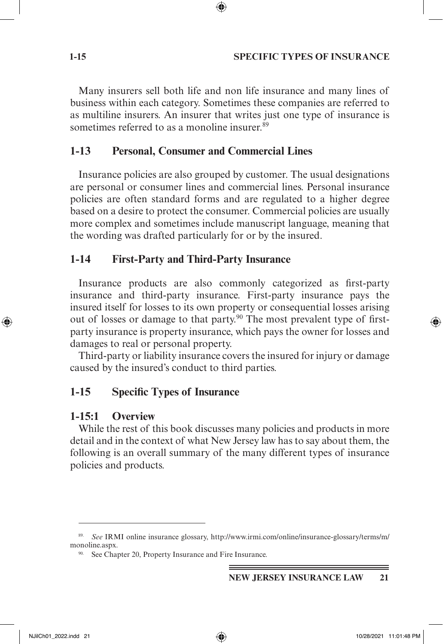#### **1-15 SPECIFIC TYPES OF INSURANCE**

Many insurers sell both life and non life insurance and many lines of business within each category. Sometimes these companies are referred to as multiline insurers. An insurer that writes just one type of insurance is sometimes referred to as a monoline insurer.<sup>89</sup>

⊕

#### **1-13 Personal, Consumer and Commercial Lines**

Insurance policies are also grouped by customer. The usual designations are personal or consumer lines and commercial lines. Personal insurance policies are often standard forms and are regulated to a higher degree based on a desire to protect the consumer. Commercial policies are usually more complex and sometimes include manuscript language, meaning that the wording was drafted particularly for or by the insured.

#### **1-14 First-Party and Third-Party Insurance**

Insurance products are also commonly categorized as first-party insurance and third-party insurance. First-party insurance pays the insured itself for losses to its own property or consequential losses arising out of losses or damage to that party.<sup>90</sup> The most prevalent type of firstparty insurance is property insurance, which pays the owner for losses and damages to real or personal property.

Third-party or liability insurance covers the insured for injury or damage caused by the insured's conduct to third parties.

## **1-15 Specific Types of Insurance**

#### **1-15:1 Overview**

While the rest of this book discusses many policies and products in more detail and in the context of what New Jersey law has to say about them, the following is an overall summary of the many different types of insurance policies and products.

⊕

<sup>89.</sup> *See* IRMI online insurance glossary, http://www.irmi.com/online/insurance-glossary/terms/m/ monoline.aspx.

<sup>90.</sup> See Chapter 20, Property Insurance and Fire Insurance.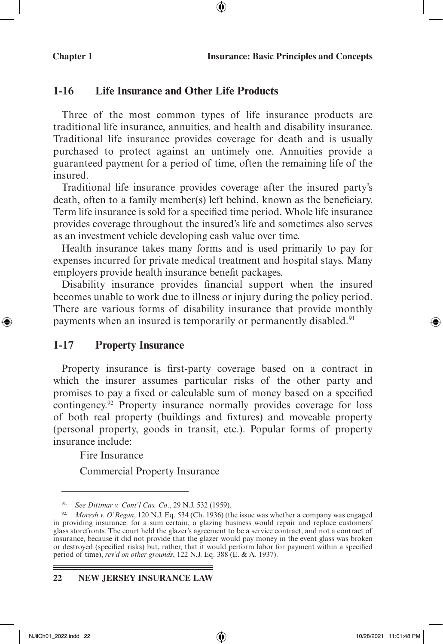#### **1-16 Life Insurance and Other Life Products**

Three of the most common types of life insurance products are traditional life insurance, annuities, and health and disability insurance. Traditional life insurance provides coverage for death and is usually purchased to protect against an untimely one. Annuities provide a guaranteed payment for a period of time, often the remaining life of the insured.

⊕

Traditional life insurance provides coverage after the insured party's death, often to a family member(s) left behind, known as the beneficiary. Term life insurance is sold for a specified time period. Whole life insurance provides coverage throughout the insured's life and sometimes also serves as an investment vehicle developing cash value over time.

Health insurance takes many forms and is used primarily to pay for expenses incurred for private medical treatment and hospital stays. Many employers provide health insurance benefit packages.

Disability insurance provides financial support when the insured becomes unable to work due to illness or injury during the policy period. There are various forms of disability insurance that provide monthly payments when an insured is temporarily or permanently disabled.<sup>91</sup>

## **1-17 Property Insurance**

Property insurance is first-party coverage based on a contract in which the insurer assumes particular risks of the other party and promises to pay a fixed or calculable sum of money based on a specified contingency.92 Property insurance normally provides coverage for loss of both real property (buildings and fixtures) and moveable property (personal property, goods in transit, etc.). Popular forms of property insurance include:

Fire Insurance

Commercial Property Insurance

#### **22 NEW JERSEY INSURANCE LAW**

⊕

<sup>91.</sup> *See Dittmar v. Cont'l Cas. Co*., 29 N.J. 532 (1959).

<sup>92.</sup> *Moresh v. O'Regan*, 120 N.J. Eq. 534 (Ch. 1936) (the issue was whether a company was engaged in providing insurance: for a sum certain, a glazing business would repair and replace customers' glass storefronts. The court held the glazer's agreement to be a service contract, and not a contract of insurance, because it did not provide that the glazer would pay money in the event glass was broken or destroyed (specified risks) but, rather, that it would perform labor for payment within a specified period of time), *rev'd on other grounds*, 122 N.J. Eq. 388 (E. & A. 1937).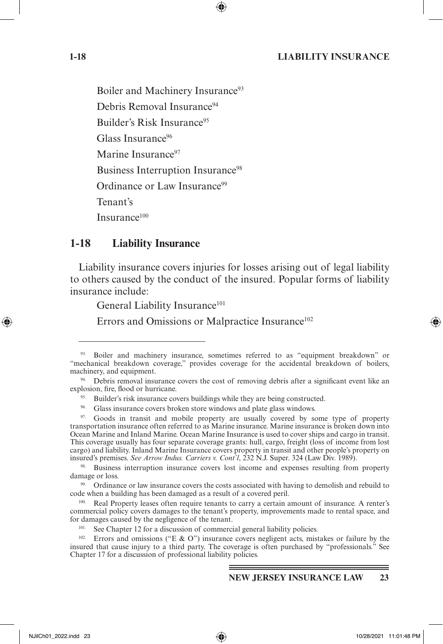#### **1-18 LIABILITY INSURANCE**

Boiler and Machinery Insurance<sup>93</sup> Debris Removal Insurance<sup>94</sup> Builder's Risk Insurance<sup>95</sup> Glass Insurance<sup>96</sup> Marine Insurance<sup>97</sup> Business Interruption Insurance<sup>98</sup> Ordinance or Law Insurance<sup>99</sup> Tenant's Insurance100

#### **1-18 Liability Insurance**

Liability insurance covers injuries for losses arising out of legal liability to others caused by the conduct of the insured. Popular forms of liability insurance include:

General Liability Insurance<sup>101</sup>

Errors and Omissions or Malpractice Insurance<sup>102</sup>

98. Business interruption insurance covers lost income and expenses resulting from property damage or loss.

<sup>99.</sup> Ordinance or law insurance covers the costs associated with having to demolish and rebuild to code when a building has been damaged as a result of a covered peril.

Real Property leases often require tenants to carry a certain amount of insurance. A renter's commercial policy covers damages to the tenant's property, improvements made to rental space, and

<sup>102.</sup> Errors and omissions ("E & O") insurance covers negligent acts, mistakes or failure by the insured that cause injury to a third party. The coverage is often purchased by "professionals." See Chapter 17 for a discussion of professional liability policies.

#### **NEW JERSEY INSURANCE LAW 23**

↔

<sup>93.</sup> Boiler and machinery insurance, sometimes referred to as "equipment breakdown" or "mechanical breakdown coverage," provides coverage for the accidental breakdown of boilers,

machinery, and equipment.<br><sup>94</sup>. Debris removal insurance covers the cost of removing debris after a significant event like an explosion, fire, flood or hurricane.

<sup>&</sup>lt;sup>95.</sup> Builder's risk insurance covers buildings while they are being constructed.

<sup>&</sup>lt;sup>96.</sup> Glass insurance covers broken store windows and plate glass windows.  $\frac{97}{20}$  Goods in transit and mobile property are usually covered by some type of property transportation insurance often referred to as Marine insurance. Marine insurance is broken down into Ocean Marine and Inland Marine. Ocean Marine Insurance is used to cover ships and cargo in transit. This coverage usually has four separate coverage grants: hull, cargo, freight (loss of income from lost cargo) and liability. Inland Marine Insurance covers property in transit and other people's property on insured's premises. *See Arrow Indus. Carriers v. Cont'l*, 232 N.J. Super. 324 (Law Div. 1989).

See Chapter 12 for a discussion of commercial general liability policies.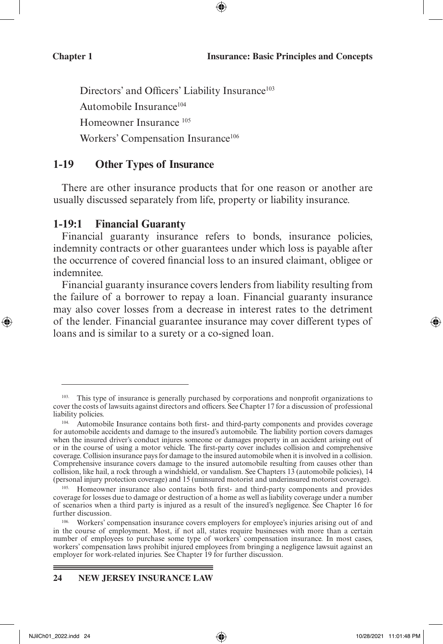Directors' and Officers' Liability Insurance<sup>103</sup> Automobile Insurance<sup>104</sup> Homeowner Insurance 105 Workers' Compensation Insurance<sup>106</sup>

#### **1-19 Other Types of Insurance**

There are other insurance products that for one reason or another are usually discussed separately from life, property or liability insurance.

#### **1-19:1 Financial Guaranty**

Financial guaranty insurance refers to bonds, insurance policies, indemnity contracts or other guarantees under which loss is payable after the occurrence of covered financial loss to an insured claimant, obligee or indemnitee.

Financial guaranty insurance covers lenders from liability resulting from the failure of a borrower to repay a loan. Financial guaranty insurance may also cover losses from a decrease in interest rates to the detriment of the lender. Financial guarantee insurance may cover different types of loans and is similar to a surety or a co-signed loan.

⊕

<sup>103.</sup> This type of insurance is generally purchased by corporations and nonprofit organizations to cover the costs of lawsuits against directors and officers. See Chapter 17 for a discussion of professional liability policies.

<sup>104.</sup> Automobile Insurance contains both first- and third-party components and provides coverage for automobile accidents and damage to the insured's automobile. The liability portion covers damages when the insured driver's conduct injures someone or damages property in an accident arising out of or in the course of using a motor vehicle. The first-party cover includes collision and comprehensive coverage. Collision insurance pays for damage to the insured automobile when it is involved in a collision. Comprehensive insurance covers damage to the insured automobile resulting from causes other than collision, like hail, a rock through a windshield, or vandalism. See Chapters 13 (automobile policies), 14 (personal injury protection coverage) and 15 (uninsured motorist and underinsured motorist coverage).

<sup>105.</sup> Homeowner insurance also contains both first- and third-party components and provides coverage for losses due to damage or destruction of a home as well as liability coverage under a number of scenarios when a third party is injured as a result of the insured's negligence. See Chapter 16 for further discussion.<br><sup>106.</sup> Workers' compensation insurance covers employers for employee's injuries arising out of and

in the course of employment. Most, if not all, states require businesses with more than a certain number of employees to purchase some type of workers' compensation insurance. In most cases, workers' compensation laws prohibit injured employees from bringing a negligence lawsuit against an employer for work-related injuries. See Chapter 19 for further discussion.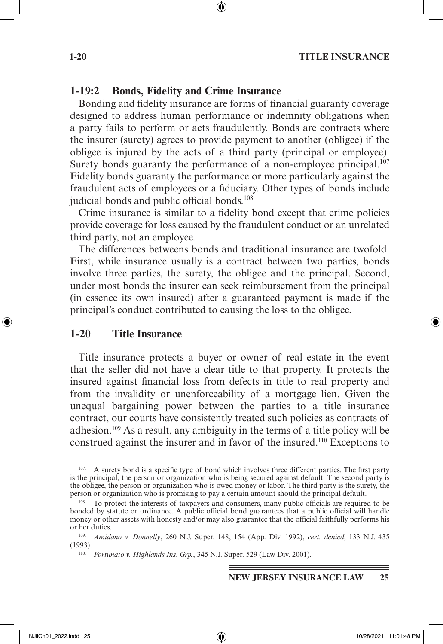#### **1-20 TITLE INSURANCE**

#### **1-19:2 Bonds, Fidelity and Crime Insurance**

Bonding and fidelity insurance are forms of financial guaranty coverage designed to address human performance or indemnity obligations when a party fails to perform or acts fraudulently. Bonds are contracts where the insurer (surety) agrees to provide payment to another (obligee) if the obligee is injured by the acts of a third party (principal or employee). Surety bonds guaranty the performance of a non-employee principal.<sup>107</sup> Fidelity bonds guaranty the performance or more particularly against the fraudulent acts of employees or a fiduciary. Other types of bonds include judicial bonds and public official bonds.<sup>108</sup>

Crime insurance is similar to a fidelity bond except that crime policies provide coverage for loss caused by the fraudulent conduct or an unrelated third party, not an employee.

The differences betweens bonds and traditional insurance are twofold. First, while insurance usually is a contract between two parties, bonds involve three parties, the surety, the obligee and the principal. Second, under most bonds the insurer can seek reimbursement from the principal (in essence its own insured) after a guaranteed payment is made if the principal's conduct contributed to causing the loss to the obligee.

#### **1-20 Title Insurance**

Title insurance protects a buyer or owner of real estate in the event that the seller did not have a clear title to that property. It protects the insured against financial loss from defects in title to real property and from the invalidity or unenforceability of a mortgage lien. Given the unequal bargaining power between the parties to a title insurance contract, our courts have consistently treated such policies as contracts of adhesion.109 As a result, any ambiguity in the terms of a title policy will be construed against the insurer and in favor of the insured.110 Exceptions to

↔

<sup>&</sup>lt;sup>107.</sup> A surety bond is a specific type of bond which involves three different parties. The first party is the principal, the person or organization who is being secured against default. The second party is the obligee, the person or organization who is owed money or labor. The third party is the surety, the person or organization who is promising to pay a certain amount should the principal default.

<sup>&</sup>lt;sup>108.</sup> To protect the interests of taxpayers and consumers, many public officials are required to be bonded by statute or ordinance. A public official bond guarantees that a public official will handle money or other assets with honesty and/or may also guarantee that the official faithfully performs his or her duties.

<sup>109.</sup> *Amidano v. Donnelly*, 260 N.J. Super. 148, 154 (App. Div. 1992), *cert. denied*, 133 N.J. 435 (1993).

<sup>110.</sup> *Fortunato v. Highlands Ins. Grp.*, 345 N.J. Super. 529 (Law Div. 2001).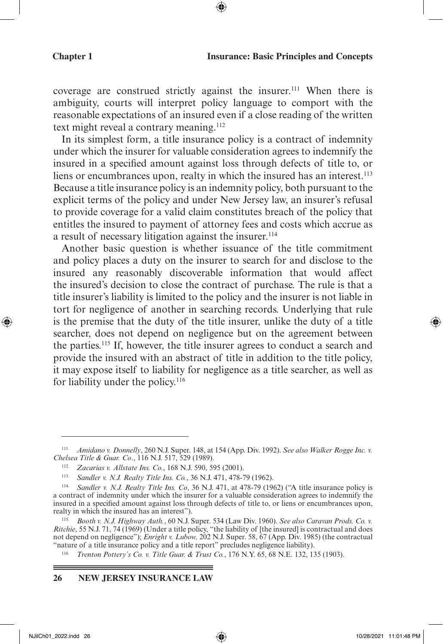coverage are construed strictly against the insurer.<sup>111</sup> When there is ambiguity, courts will interpret policy language to comport with the reasonable expectations of an insured even if a close reading of the written text might reveal a contrary meaning.<sup>112</sup>

In its simplest form, a title insurance policy is a contract of indemnity under which the insurer for valuable consideration agrees to indemnify the insured in a specified amount against loss through defects of title to, or liens or encumbrances upon, realty in which the insured has an interest.<sup>113</sup> Because a title insurance policy is an indemnity policy, both pursuant to the explicit terms of the policy and under New Jersey law, an insurer's refusal to provide coverage for a valid claim constitutes breach of the policy that entitles the insured to payment of attorney fees and costs which accrue as a result of necessary litigation against the insurer.<sup>114</sup>

Another basic question is whether issuance of the title commitment and policy places a duty on the insurer to search for and disclose to the insured any reasonably discoverable information that would affect the insured's decision to close the contract of purchase. The rule is that a title insurer's liability is limited to the policy and the insurer is not liable in tort for negligence of another in searching records. Underlying that rule is the premise that the duty of the title insurer, unlike the duty of a title searcher, does not depend on negligence but on the agreement between the parties.115 If, however, the title insurer agrees to conduct a search and provide the insured with an abstract of title in addition to the title policy, it may expose itself to liability for negligence as a title searcher, as well as for liability under the policy.<sup>116</sup>

#### **26 NEW JERSEY INSURANCE LAW**

<sup>111.</sup> *Amidano v. Donnelly*, 260 N.J. Super. 148, at 154 (App. Div. 1992). *See also Walker Rogge Inc. v. Chelsea Title & Guar. Co*., 116 N.J. 517, 529 (1989).

<sup>112.</sup> *Zacarias v. Allstate Ins. Co.*, 168 N.J. 590, 595 (2001).

<sup>113.</sup> *Sandler v. N.J. Realty Title Ins. Co.*, 36 N.J. 471, 478-79 (1962).

<sup>114.</sup> *Sandler v. N.J. Realty Title Ins. Co*, 36 N.J. 471, at 478-79 (1962) ("A title insurance policy is a contract of indemnity under which the insurer for a valuable consideration agrees to indemnify the insured in a specified amount against loss through defects of title to, or liens or encumbrances upon, realty in which the insured has an interest").

<sup>115.</sup> *Booth v. N.J. Highway Auth.*, 60 N.J. Super. 534 (Law Div. 1960). *See also Caravan Prods. Co. v. Ritchie*, 55 N.J. 71, 74 (1969) (Under a title policy, "the liability of [the insured] is contractual and does not depend on negligence"); *Enright v. Lubow,* 202 N.J. Super. 58, 67 (App. Div. 1985) (the contractual "nature of a title insurance policy and a title report" precludes negligence liability).

<sup>116.</sup> *Trenton Pottery's Co. v. Title Guar. & Trust Co.*, 176 N.Y. 65, 68 N.E. 132, 135 (1903).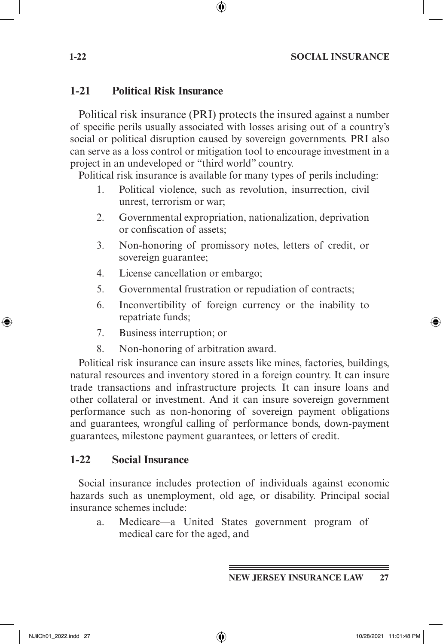#### **1-22 SOCIAL INSURANCE**

#### **1-21 Political Risk Insurance**

Political risk insurance (PRI) protects the insured against a number of specific perils usually associated with losses arising out of a country's social or political disruption caused by sovereign governments. PRI also can serve as a loss control or mitigation tool to encourage investment in a project in an undeveloped or "third world" country.

⊕

Political risk insurance is available for many types of perils including:

- 1. Political violence, such as revolution, insurrection, civil unrest, terrorism or war;
- 2. Governmental expropriation, nationalization, deprivation or confiscation of assets;
- 3. Non-honoring of promissory notes, letters of credit, or sovereign guarantee;
- 4. License cancellation or embargo;
- 5. Governmental frustration or repudiation of contracts;
- 6. Inconvertibility of foreign currency or the inability to repatriate funds;
- 7. Business interruption; or
- 8. Non-honoring of arbitration award.

Political risk insurance can insure assets like mines, factories, buildings, natural resources and inventory stored in a foreign country. It can insure trade transactions and infrastructure projects. It can insure loans and other collateral or investment. And it can insure sovereign government performance such as non-honoring of sovereign payment obligations and guarantees, wrongful calling of performance bonds, down-payment guarantees, milestone payment guarantees, or letters of credit.

## **1-22 Social Insurance**

Social insurance includes protection of individuals against economic hazards such as unemployment, old age, or disability. Principal social insurance schemes include:

a. Medicare—a United States government program of medical care for the aged, and

**NEW JERSEY INSURANCE LAW 27**

⊕